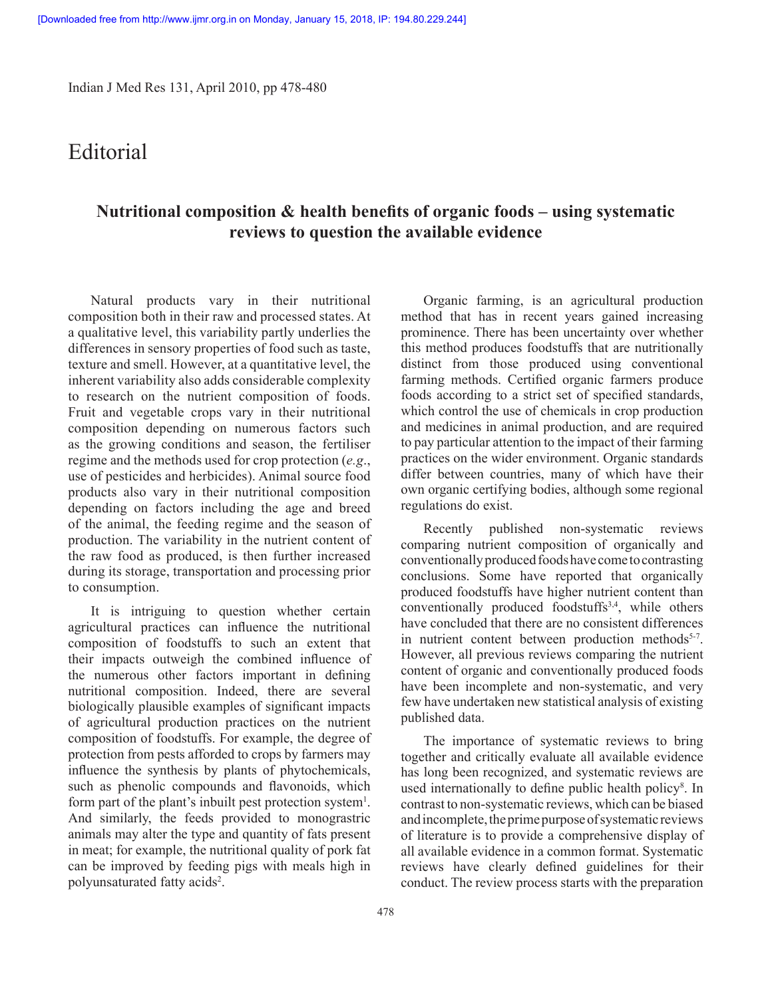Indian J Med Res 131, April 2010, pp 478-480

# Editorial

## **Nutritional composition & health benefits of organic foods – using systematic reviews to question the available evidence**

Natural products vary in their nutritional composition both in their raw and processed states. At a qualitative level, this variability partly underlies the differences in sensory properties of food such as taste, texture and smell. However, at a quantitative level, the inherent variability also adds considerable complexity to research on the nutrient composition of foods. Fruit and vegetable crops vary in their nutritional composition depending on numerous factors such as the growing conditions and season, the fertiliser regime and the methods used for crop protection (*e.g*., use of pesticides and herbicides). Animal source food products also vary in their nutritional composition depending on factors including the age and breed of the animal, the feeding regime and the season of production. The variability in the nutrient content of the raw food as produced, is then further increased during its storage, transportation and processing prior to consumption.

It is intriguing to question whether certain agricultural practices can influence the nutritional composition of foodstuffs to such an extent that their impacts outweigh the combined influence of the numerous other factors important in defining nutritional composition. Indeed, there are several biologically plausible examples of significant impacts of agricultural production practices on the nutrient composition of foodstuffs. For example, the degree of protection from pests afforded to crops by farmers may influence the synthesis by plants of phytochemicals, such as phenolic compounds and flavonoids, which form part of the plant's inbuilt pest protection system<sup>1</sup>. And similarly, the feeds provided to monograstric animals may alter the type and quantity of fats present in meat; for example, the nutritional quality of pork fat can be improved by feeding pigs with meals high in polyunsaturated fatty acids<sup>2</sup>.

Organic farming, is an agricultural production method that has in recent years gained increasing prominence. There has been uncertainty over whether this method produces foodstuffs that are nutritionally distinct from those produced using conventional farming methods. Certified organic farmers produce foods according to a strict set of specified standards, which control the use of chemicals in crop production and medicines in animal production, and are required to pay particular attention to the impact of their farming practices on the wider environment. Organic standards differ between countries, many of which have their own organic certifying bodies, although some regional regulations do exist.

Recently published non-systematic reviews comparing nutrient composition of organically and conventionally produced foods have come to contrasting conclusions. Some have reported that organically produced foodstuffs have higher nutrient content than conventionally produced foodstuffs<sup>3,4</sup>, while others have concluded that there are no consistent differences in nutrient content between production methods<sup>5-7</sup>. However, all previous reviews comparing the nutrient content of organic and conventionally produced foods have been incomplete and non-systematic, and very few have undertaken new statistical analysis of existing published data.

The importance of systematic reviews to bring together and critically evaluate all available evidence has long been recognized, and systematic reviews are used internationally to define public health policy<sup>8</sup>. In contrast to non-systematic reviews, which can be biased and incomplete, the prime purpose of systematic reviews of literature is to provide a comprehensive display of all available evidence in a common format. Systematic reviews have clearly defined guidelines for their conduct. The review process starts with the preparation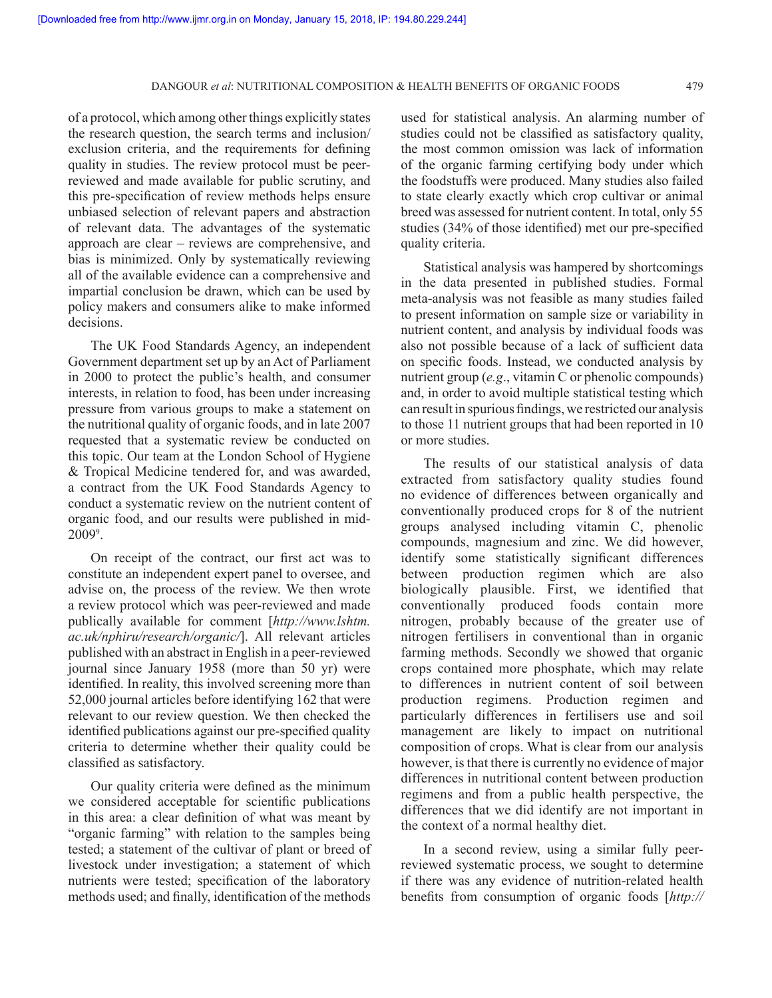#### DANGOUR *et al*: NUTRITIONAL COMPOSITION & HEALTH BENEFITS OF ORGANIC FOODS 479

of a protocol, which among other things explicitly states the research question, the search terms and inclusion/ exclusion criteria, and the requirements for defining quality in studies. The review protocol must be peerreviewed and made available for public scrutiny, and this pre-specification of review methods helps ensure unbiased selection of relevant papers and abstraction of relevant data. The advantages of the systematic approach are clear – reviews are comprehensive, and bias is minimized. Only by systematically reviewing all of the available evidence can a comprehensive and impartial conclusion be drawn, which can be used by policy makers and consumers alike to make informed decisions.

The UK Food Standards Agency, an independent Government department set up by an Act of Parliament in 2000 to protect the public's health, and consumer interests, in relation to food, has been under increasing pressure from various groups to make a statement on the nutritional quality of organic foods, and in late 2007 requested that a systematic review be conducted on this topic. Our team at the London School of Hygiene & Tropical Medicine tendered for, and was awarded, a contract from the UK Food Standards Agency to conduct a systematic review on the nutrient content of organic food, and our results were published in mid- $2009^{\circ}$ .

On receipt of the contract, our first act was to constitute an independent expert panel to oversee, and advise on, the process of the review. We then wrote a review protocol which was peer-reviewed and made publically available for comment [*http://www.lshtm. ac.uk/nphiru/research/organic/*]. All relevant articles published with an abstract in English in a peer-reviewed journal since January 1958 (more than 50 yr) were identified. In reality, this involved screening more than 52,000 journal articles before identifying 162 that were relevant to our review question. We then checked the identified publications against our pre-specified quality criteria to determine whether their quality could be classified as satisfactory.

Our quality criteria were defined as the minimum we considered acceptable for scientific publications in this area: a clear definition of what was meant by "organic farming" with relation to the samples being tested; a statement of the cultivar of plant or breed of livestock under investigation; a statement of which nutrients were tested; specification of the laboratory methods used; and finally, identification of the methods

used for statistical analysis. An alarming number of studies could not be classified as satisfactory quality, the most common omission was lack of information of the organic farming certifying body under which the foodstuffs were produced. Many studies also failed to state clearly exactly which crop cultivar or animal breed was assessed for nutrient content. In total, only 55 studies (34% of those identified) met our pre-specified quality criteria.

Statistical analysis was hampered by shortcomings in the data presented in published studies. Formal meta-analysis was not feasible as many studies failed to present information on sample size or variability in nutrient content, and analysis by individual foods was also not possible because of a lack of sufficient data on specific foods. Instead, we conducted analysis by nutrient group (*e.g*., vitamin C or phenolic compounds) and, in order to avoid multiple statistical testing which can result in spurious findings, we restricted our analysis to those 11 nutrient groups that had been reported in 10 or more studies.

The results of our statistical analysis of data extracted from satisfactory quality studies found no evidence of differences between organically and conventionally produced crops for 8 of the nutrient groups analysed including vitamin C, phenolic compounds, magnesium and zinc. We did however, identify some statistically significant differences between production regimen which are also biologically plausible. First, we identified that conventionally produced foods contain more nitrogen, probably because of the greater use of nitrogen fertilisers in conventional than in organic farming methods. Secondly we showed that organic crops contained more phosphate, which may relate to differences in nutrient content of soil between production regimens. Production regimen and particularly differences in fertilisers use and soil management are likely to impact on nutritional composition of crops. What is clear from our analysis however, is that there is currently no evidence of major differences in nutritional content between production regimens and from a public health perspective, the differences that we did identify are not important in the context of a normal healthy diet.

In a second review, using a similar fully peerreviewed systematic process, we sought to determine if there was any evidence of nutrition-related health benefits from consumption of organic foods [*http://*